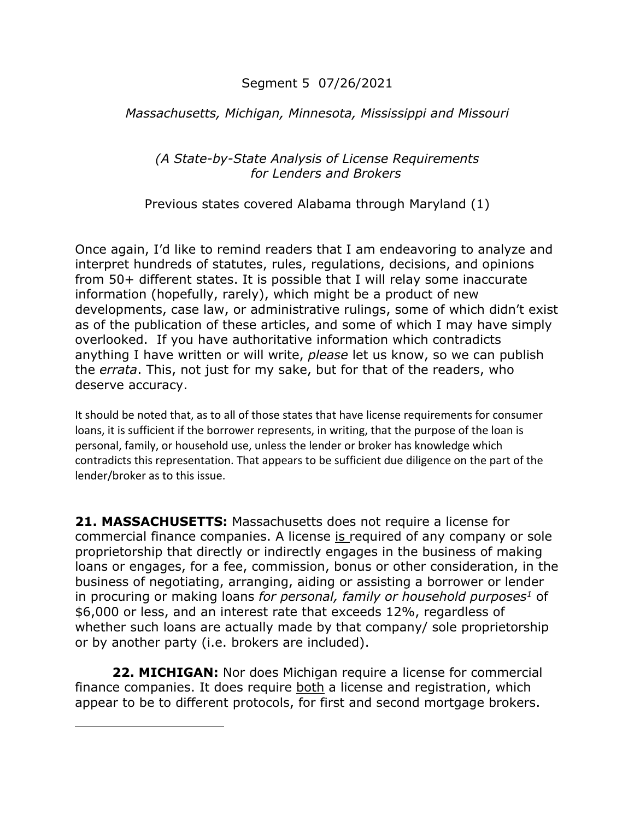### Segment 5 07/26/2021

### *Massachusetts, Michigan, Minnesota, Mississippi and Missouri*

#### *(A State-by-State Analysis of License Requirements for Lenders and Brokers*

Previous states covered Alabama through Maryland (1)

Once again, I'd like to remind readers that I am endeavoring to analyze and interpret hundreds of statutes, rules, regulations, decisions, and opinions from 50+ different states. It is possible that I will relay some inaccurate information (hopefully, rarely), which might be a product of new developments, case law, or administrative rulings, some of which didn't exist as of the publication of these articles, and some of which I may have simply overlooked. If you have authoritative information which contradicts anything I have written or will write, *please* let us know, so we can publish the *errata*. This, not just for my sake, but for that of the readers, who deserve accuracy.

It should be noted that, as to all of those states that have license requirements for consumer loans, it is sufficient if the borrower represents, in writing, that the purpose of the loan is personal, family, or household use, unless the lender or broker has knowledge which contradicts this representation. That appears to be sufficient due diligence on the part of the lender/broker as to this issue.

**21. MASSACHUSETTS:** Massachusetts does not require a license for commercial finance companies. A license is required of any company or sole proprietorship that directly or indirectly engages in the business of making loans or engages, for a fee, commission, bonus or other consideration, in the business of negotiating, arranging, aiding or assisting a borrower or lender in procuring or making loans *for personal, family or household purposes1* of \$6,000 or less, and an interest rate that exceeds 12%, regardless of whether such loans are actually made by that company/ sole proprietorship or by another party (i.e. brokers are included).

**22. MICHIGAN:** Nor does Michigan require a license for commercial finance companies. It does require both a license and registration, which appear to be to different protocols, for first and second mortgage brokers.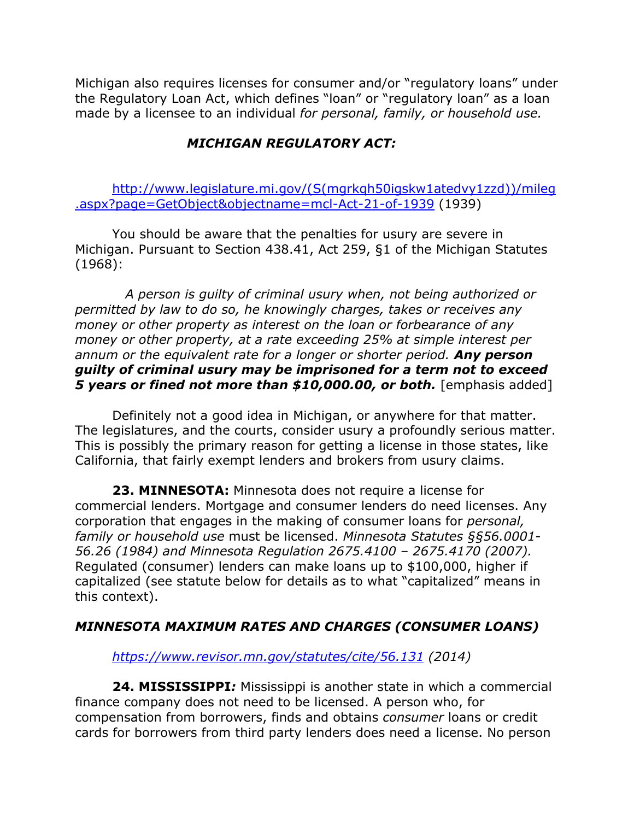Michigan also requires licenses for consumer and/or "regulatory loans" under the Regulatory Loan Act, which defines "loan" or "regulatory loan" as a loan made by a licensee to an individual *for personal, family, or household use.*

# *MICHIGAN REGULATORY ACT:*

http://www.legislature.mi.gov/(S(mgrkqh50igskw1atedvy1zzd))/mileg .aspx?page=GetObject&objectname=mcl-Act-21-of-1939 (1939)

You should be aware that the penalties for usury are severe in Michigan. Pursuant to Section 438.41, Act 259, §1 of the Michigan Statutes (1968):

 *A person is guilty of criminal usury when, not being authorized or permitted by law to do so, he knowingly charges, takes or receives any money or other property as interest on the loan or forbearance of any money or other property, at a rate exceeding 25% at simple interest per annum or the equivalent rate for a longer or shorter period. Any person guilty of criminal usury may be imprisoned for a term not to exceed*  **5 years or fined not more than \$10,000.00, or both.** [emphasis added]

Definitely not a good idea in Michigan, or anywhere for that matter. The legislatures, and the courts, consider usury a profoundly serious matter. This is possibly the primary reason for getting a license in those states, like California, that fairly exempt lenders and brokers from usury claims.

**23. MINNESOTA:** Minnesota does not require a license for commercial lenders. Mortgage and consumer lenders do need licenses. Any corporation that engages in the making of consumer loans for *personal, family or household use* must be licensed. *Minnesota Statutes §§56.0001- 56.26 (1984) and Minnesota Regulation 2675.4100 – 2675.4170 (2007).*  Regulated (consumer) lenders can make loans up to \$100,000, higher if capitalized (see statute below for details as to what "capitalized" means in this context).

## *MINNESOTA MAXIMUM RATES AND CHARGES (CONSUMER LOANS)*

*https://www.revisor.mn.gov/statutes/cite/56.131 (2014)*

**24. MISSISSIPPI***:* Mississippi is another state in which a commercial finance company does not need to be licensed. A person who, for compensation from borrowers, finds and obtains *consumer* loans or credit cards for borrowers from third party lenders does need a license. No person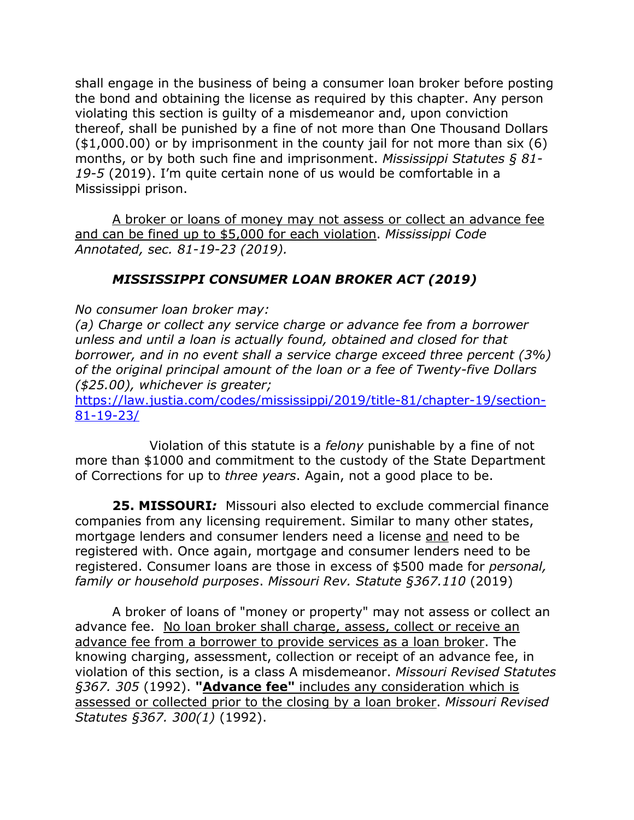shall engage in the business of being a consumer loan broker before posting the bond and obtaining the license as required by this chapter. Any person violating this section is guilty of a misdemeanor and, upon conviction thereof, shall be punished by a fine of not more than One Thousand Dollars (\$1,000.00) or by imprisonment in the county jail for not more than six (6) months, or by both such fine and imprisonment. *Mississippi Statutes § 81- 19-5* (2019). I'm quite certain none of us would be comfortable in a Mississippi prison.

A broker or loans of money may not assess or collect an advance fee and can be fined up to \$5,000 for each violation. *Mississippi Code Annotated, sec. 81-19-23 (2019).*

## *MISSISSIPPI CONSUMER LOAN BROKER ACT (2019)*

*No consumer loan broker may:*

*(a) Charge or collect any service charge or advance fee from a borrower unless and until a loan is actually found, obtained and closed for that borrower, and in no event shall a service charge exceed three percent (3%) of the original principal amount of the loan or a fee of Twenty-five Dollars (\$25.00), whichever is greater;*

https://law.justia.com/codes/mississippi/2019/title-81/chapter-19/section-81-19-23/

Violation of this statute is a *felony* punishable by a fine of not more than \$1000 and commitment to the custody of the State Department of Corrections for up to *three years*. Again, not a good place to be.

**25. MISSOURI***:* Missouri also elected to exclude commercial finance companies from any licensing requirement. Similar to many other states, mortgage lenders and consumer lenders need a license and need to be registered with. Once again, mortgage and consumer lenders need to be registered. Consumer loans are those in excess of \$500 made for *personal, family or household purposes*. *Missouri Rev. Statute §367.110* (2019)

A broker of loans of "money or property" may not assess or collect an advance fee. No loan broker shall charge, assess, collect or receive an advance fee from a borrower to provide services as a loan broker. The knowing charging, assessment, collection or receipt of an advance fee, in violation of this section, is a class A misdemeanor. *Missouri Revised Statutes §367. 305* (1992). **"Advance fee"** includes any consideration which is assessed or collected prior to the closing by a loan broker. *Missouri Revised Statutes §367. 300(1)* (1992).